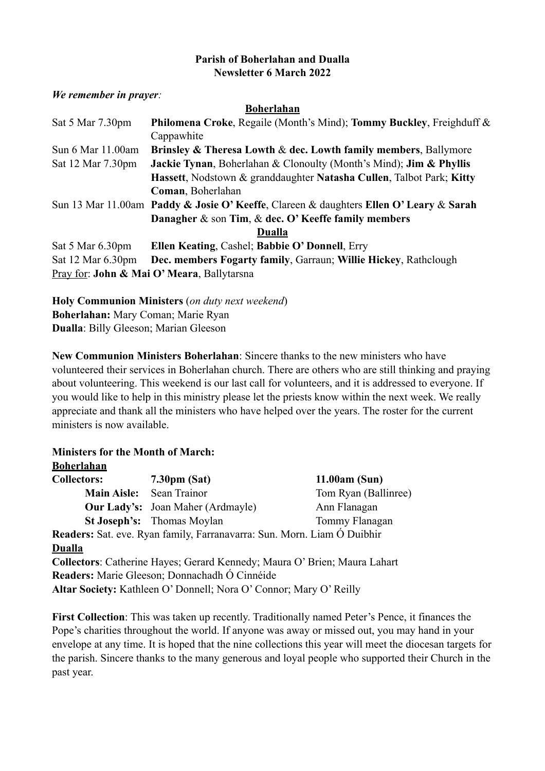# **Parish of Boherlahan and Dualla Newsletter 6 March 2022**

### *We remember in prayer:*

#### **Boherlahan**

| Sat 5 Mar 7.30pm                           | <b>Philomena Croke, Regaile (Month's Mind); Tommy Buckley, Freighduff &amp;</b>        |  |  |
|--------------------------------------------|----------------------------------------------------------------------------------------|--|--|
|                                            | Cappawhite                                                                             |  |  |
| Sun 6 Mar 11.00am                          | Brinsley & Theresa Lowth & dec. Lowth family members, Ballymore                        |  |  |
| Sat 12 Mar 7.30pm                          | <b>Jackie Tynan, Boherlahan &amp; Clonoulty (Month's Mind); Jim &amp; Phyllis</b>      |  |  |
|                                            | Hassett, Nodstown & granddaughter Natasha Cullen, Talbot Park; Kitty                   |  |  |
|                                            | Coman, Boherlahan                                                                      |  |  |
|                                            | Sun 13 Mar 11.00am Paddy & Josie O' Keeffe, Clareen & daughters Ellen O' Leary & Sarah |  |  |
|                                            | Danagher & son Tim, & dec. O' Keeffe family members                                    |  |  |
| Dualla                                     |                                                                                        |  |  |
| Sat 5 Mar 6.30pm                           | Ellen Keating, Cashel; Babbie O' Donnell, Erry                                         |  |  |
| Sat 12 Mar 6.30pm                          | Dec. members Fogarty family, Garraun; Willie Hickey, Rathclough                        |  |  |
| Pray for: John & Mai O' Meara, Ballytarsna |                                                                                        |  |  |

**Holy Communion Ministers** (*on duty next weekend*) **Boherlahan:** Mary Coman; Marie Ryan **Dualla**: Billy Gleeson; Marian Gleeson

**New Communion Ministers Boherlahan**: Sincere thanks to the new ministers who have volunteered their services in Boherlahan church. There are others who are still thinking and praying about volunteering. This weekend is our last call for volunteers, and it is addressed to everyone. If you would like to help in this ministry please let the priests know within the next week. We really appreciate and thank all the ministers who have helped over the years. The roster for the current ministers is now available.

# **Ministers for the Month of March:**

| <b>Boherlahan</b>        |                                                                           |                      |
|--------------------------|---------------------------------------------------------------------------|----------------------|
| <b>Collectors:</b>       | $7.30pm$ (Sat)                                                            | 11.00am(Sun)         |
| Main Aisle: Sean Trainor |                                                                           | Tom Ryan (Ballinree) |
|                          | <b>Our Lady's:</b> Joan Maher (Ardmayle)                                  | Ann Flanagan         |
|                          | <b>St Joseph's:</b> Thomas Moylan                                         | Tommy Flanagan       |
|                          | Readers: Sat. eve. Ryan family, Farranavarra: Sun. Morn. Liam Ó Duibhir   |                      |
| <b>Dualla</b>            |                                                                           |                      |
|                          | Collectors: Catherine Hayes; Gerard Kennedy; Maura O' Brien; Maura Lahart |                      |
|                          |                                                                           |                      |
|                          | Altar Society: Kathleen O' Donnell; Nora O' Connor; Mary O' Reilly        |                      |
|                          | Readers: Marie Gleeson; Donnachadh Ó Cinnéide                             |                      |

**First Collection**: This was taken up recently. Traditionally named Peter's Pence, it finances the Pope's charities throughout the world. If anyone was away or missed out, you may hand in your envelope at any time. It is hoped that the nine collections this year will meet the diocesan targets for the parish. Sincere thanks to the many generous and loyal people who supported their Church in the past year.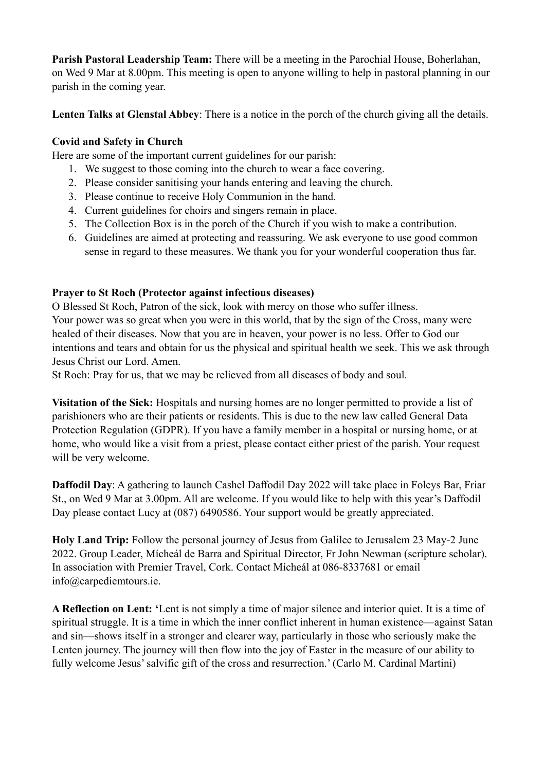**Parish Pastoral Leadership Team:** There will be a meeting in the Parochial House, Boherlahan, on Wed 9 Mar at 8.00pm. This meeting is open to anyone willing to help in pastoral planning in our parish in the coming year.

**Lenten Talks at Glenstal Abbey**: There is a notice in the porch of the church giving all the details.

# **Covid and Safety in Church**

Here are some of the important current guidelines for our parish:

- 1. We suggest to those coming into the church to wear a face covering.
- 2. Please consider sanitising your hands entering and leaving the church.
- 3. Please continue to receive Holy Communion in the hand.
- 4. Current guidelines for choirs and singers remain in place.
- 5. The Collection Box is in the porch of the Church if you wish to make a contribution.
- 6. Guidelines are aimed at protecting and reassuring. We ask everyone to use good common sense in regard to these measures. We thank you for your wonderful cooperation thus far.

## **Prayer to St Roch (Protector against infectious diseases)**

O Blessed St Roch, Patron of the sick, look with mercy on those who suffer illness. Your power was so great when you were in this world, that by the sign of the Cross, many were healed of their diseases. Now that you are in heaven, your power is no less. Offer to God our intentions and tears and obtain for us the physical and spiritual health we seek. This we ask through Jesus Christ our Lord. Amen.

St Roch: Pray for us, that we may be relieved from all diseases of body and soul.

**Visitation of the Sick:** Hospitals and nursing homes are no longer permitted to provide a list of parishioners who are their patients or residents. This is due to the new law called General Data Protection Regulation (GDPR). If you have a family member in a hospital or nursing home, or at home, who would like a visit from a priest, please contact either priest of the parish. Your request will be very welcome.

**Daffodil Day**: A gathering to launch Cashel Daffodil Day 2022 will take place in Foleys Bar, Friar St., on Wed 9 Mar at 3.00pm. All are welcome. If you would like to help with this year's Daffodil Day please contact Lucy at (087) 6490586. Your support would be greatly appreciated.

**Holy Land Trip:** Follow the personal journey of Jesus from Galilee to Jerusalem 23 May-2 June 2022. Group Leader, Mícheál de Barra and Spiritual Director, Fr John Newman (scripture scholar). In association with Premier Travel, Cork. Contact Mícheál at 086-8337681 or email info@carpediemtours.ie.

**A Reflection on Lent: '**Lent is not simply a time of major silence and interior quiet. It is a time of spiritual struggle. It is a time in which the inner conflict inherent in human existence—against Satan and sin—shows itself in a stronger and clearer way, particularly in those who seriously make the Lenten journey. The journey will then flow into the joy of Easter in the measure of our ability to fully welcome Jesus' salvific gift of the cross and resurrection.' (Carlo M. Cardinal Martini)